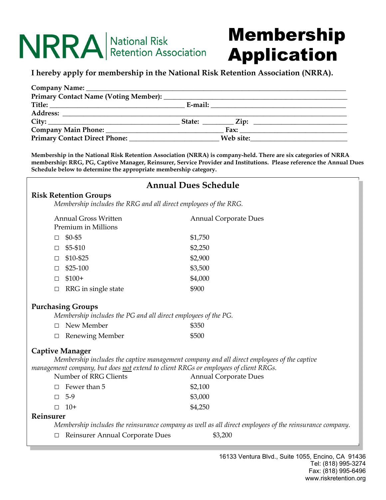# NRRA National Risk

# Membership Application

### **I hereby apply for membership in the National Risk Retention Association (NRRA).**

| Web site: |
|-----------|

**Membership in the National Risk Retention Association (NRRA) is company-held. There are six categories of NRRA membership: RRG, PG, Captive Manager, Reinsurer, Service Provider and Institutions. Please reference the Annual Dues Schedule below to determine the appropriate membership category.** 

## **Annual Dues Schedule Risk Retention Groups**  *Membership includes the RRG and all direct employees of the RRG.*  Annual Gross Written **Annual Corporate Dues** Premium in Millions  $\Box$  \$0-\$5 \$1,750  $\Box$  \$5-\$10 \$2,250  $\Box$  \$10-\$25 \$2,900  $\Box$  \$25-100 \$3,500  $\Box$  \$100+ \$4,000 □ RRG in single state \$900 **Purchasing Groups**  *Membership includes the PG and all direct employees of the PG.*  □ New Member \$350 □ Renewing Member \$500 **Captive Manager**  *Membership includes the captive management company and all direct employees of the captive management company, but does not extend to client RRGs or employees of client RRGs.*  Number of RRG Clients Annual Corporate Dues  $\Box$  Fewer than 5  $$2.100$  $\Box$  5-9 \$3,000  $\Box$  10+ \$4,250 **Reinsurer**  *Membership includes the reinsurance company as well as all direct employees of the reinsurance company.*  □ Reinsurer Annual Corporate Dues \$3,200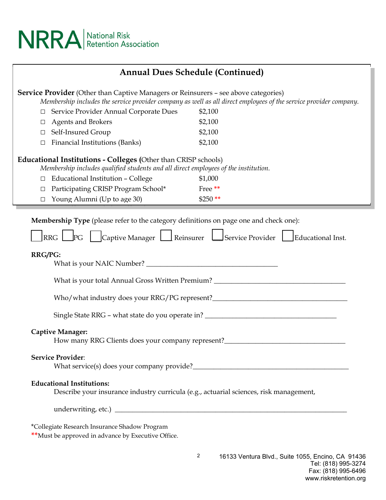

| <b>Annual Dues Schedule (Continued)</b>                                                                                                                                                                         |                                                                                                                                                       |                                                                                                                                                                                                                                                          |  |  |
|-----------------------------------------------------------------------------------------------------------------------------------------------------------------------------------------------------------------|-------------------------------------------------------------------------------------------------------------------------------------------------------|----------------------------------------------------------------------------------------------------------------------------------------------------------------------------------------------------------------------------------------------------------|--|--|
| <b>Service Provider</b> (Other than Captive Managers or Reinsurers - see above categories)<br>Membership includes the service provider company as well as all direct employees of the service provider company. |                                                                                                                                                       |                                                                                                                                                                                                                                                          |  |  |
| □                                                                                                                                                                                                               | Service Provider Annual Corporate Dues                                                                                                                | \$2,100                                                                                                                                                                                                                                                  |  |  |
| $\Box$                                                                                                                                                                                                          | <b>Agents and Brokers</b>                                                                                                                             | \$2,100                                                                                                                                                                                                                                                  |  |  |
| $\Box$                                                                                                                                                                                                          | Self-Insured Group                                                                                                                                    | \$2,100                                                                                                                                                                                                                                                  |  |  |
| $\Box$                                                                                                                                                                                                          | <b>Financial Institutions (Banks)</b>                                                                                                                 | \$2,100                                                                                                                                                                                                                                                  |  |  |
|                                                                                                                                                                                                                 | Educational Institutions - Colleges (Other than CRISP schools)<br>Membership includes qualified students and all direct employees of the institution. |                                                                                                                                                                                                                                                          |  |  |
| $\Box$                                                                                                                                                                                                          | Educational Institution - College                                                                                                                     | \$1,000                                                                                                                                                                                                                                                  |  |  |
| $\Box$                                                                                                                                                                                                          | Participating CRISP Program School*                                                                                                                   | Free**                                                                                                                                                                                                                                                   |  |  |
| $\Box$                                                                                                                                                                                                          | Young Alumni (Up to age 30)                                                                                                                           | $$250$ **                                                                                                                                                                                                                                                |  |  |
| RRG/PG:                                                                                                                                                                                                         |                                                                                                                                                       | What is your total Annual Gross Written Premium? _______________________________<br>Who/what industry does your RRG/PG represent?___________________________________<br>Single State RRG - what state do you operate in? _______________________________ |  |  |
|                                                                                                                                                                                                                 | <b>Captive Manager:</b>                                                                                                                               | How many RRG Clients does your company represent?________________________________                                                                                                                                                                        |  |  |
|                                                                                                                                                                                                                 | <b>Service Provider:</b>                                                                                                                              |                                                                                                                                                                                                                                                          |  |  |
|                                                                                                                                                                                                                 | <b>Educational Institutions:</b><br>Describe your insurance industry curricula (e.g., actuarial sciences, risk management,                            |                                                                                                                                                                                                                                                          |  |  |
|                                                                                                                                                                                                                 |                                                                                                                                                       |                                                                                                                                                                                                                                                          |  |  |
|                                                                                                                                                                                                                 | *Collegiate Research Insurance Shadow Program                                                                                                         |                                                                                                                                                                                                                                                          |  |  |

2

**\*\***Must be approved in advance by Executive Office.